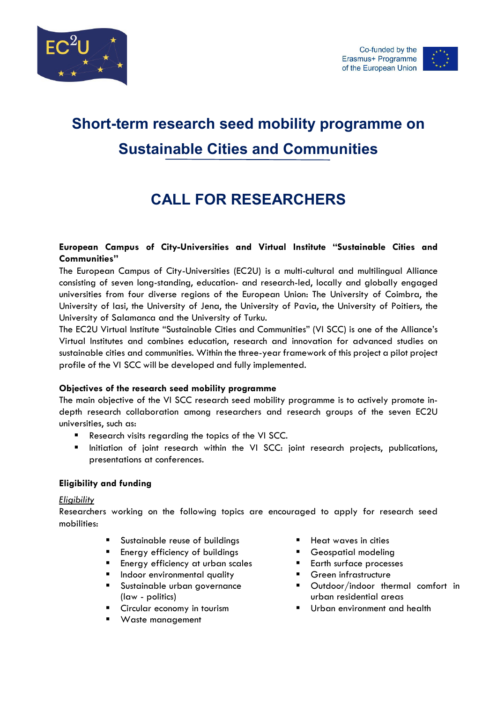

# **Short-term research seed mobility programme on Sustainable Cities and Communities**

# **CALL FOR RESEARCHERS**

### **European Campus of City-Universities and Virtual Institute "Sustainable Cities and Communities"**

The European Campus of City-Universities (EC2U) is a multi-cultural and multilingual Alliance consisting of seven long-standing, education- and research-led, locally and globally engaged universities from four diverse regions of the European Union: The University of Coimbra, the University of Iasi, the University of Jena, the University of Pavia, the University of Poitiers, the University of Salamanca and the University of Turku.

The EC2U Virtual Institute "Sustainable Cities and Communities" (VI SCC) is one of the Alliance's Virtual Institutes and combines education, research and innovation for advanced studies on sustainable cities and communities. Within the three-year framework of this project a pilot project profile of the VI SCC will be developed and fully implemented.

#### **Objectives of the research seed mobility programme**

The main objective of the VI SCC research seed mobility programme is to actively promote indepth research collaboration among researchers and research groups of the seven EC2U universities, such as:

- Research visits regarding the topics of the VI SCC.
- Initiation of joint research within the VI SCC: joint research projects, publications, presentations at conferences.

#### **Eligibility and funding**

#### *Eligibility*

Researchers working on the following topics are encouraged to apply for research seed mobilities:

- Sustainable reuse of buildings **Fig. 14** Heat waves in cities
- Energy efficiency of buildings Geospatial modeling
- Energy efficiency at urban scales **Earth surface processes**
- Indoor environmental quality **Green infrastructure**
- Sustainable urban governance (law - politics)
- 
- **Waste management**
- 
- 
- 
- 
- **•** Outdoor/indoor thermal comfort in urban residential areas
- Circular economy in tourism Urban environment and health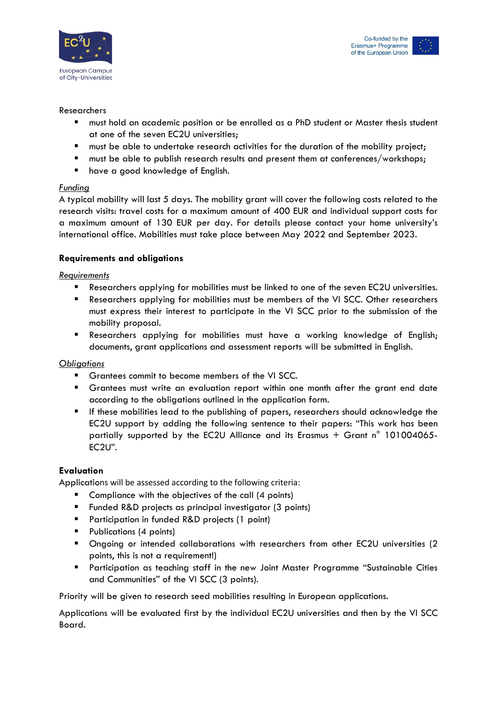



#### Researchers

- must hold an academic position or be enrolled as a PhD student or Master thesis student at one of the seven EC2U universities;
- **"** must be able to undertake research activities for the duration of the mobility project;
- **nust be able to publish research results and present them at conferences/workshops;**
- have a good knowledge of English.

#### *Funding*

A typical mobility will last 5 days. The mobility grant will cover the following costs related to the research visits: travel costs for a maximum amount of 400 EUR and individual support costs for a maximum amount of 130 EUR per day. For details please contact your home university's international office. Mobilities must take place between May 2022 and September 2023.

#### **Requirements and obligations**

#### *Requirements*

- Researchers applying for mobilities must be linked to one of the seven EC2U universities.
- Researchers applying for mobilities must be members of the VI SCC. Other researchers must express their interest to participate in the VI SCC prior to the submission of the mobility proposal.
- Researchers applying for mobilities must have a working knowledge of English; documents, grant applications and assessment reports will be submitted in English.

#### *Obligations*

- **F** Grantees commit to become members of the VI SCC.
- Grantees must write an evaluation report within one month after the grant end date according to the obligations outlined in the application form.
- If these mobilities lead to the publishing of papers, researchers should acknowledge the EC2U support by adding the following sentence to their papers: "This work has been partially supported by the EC2U Alliance and its Erasmus + Grant n° 101004065-EC2U".

#### **Evaluation**

Applications will be assessed according to the following criteria:

- Compliance with the objectives of the call (4 points)
- Funded R&D projects as principal investigator (3 points)
- Participation in funded R&D projects (1 point)
- **Publications (4 points)**
- Ongoing or intended collaborations with researchers from other EC2U universities (2 points, this is not a requirement!)
- Participation as teaching staff in the new Joint Master Programme "Sustainable Cities and Communities" of the VI SCC (3 points).

Priority will be given to research seed mobilities resulting in European applications.

Applications will be evaluated first by the individual EC2U universities and then by the VI SCC Board.